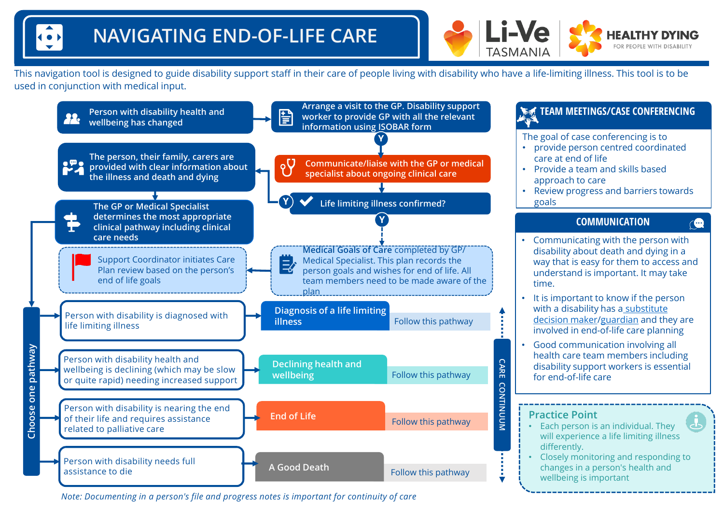

This navigation tool is designed to guide disability support staff in their care of people living with disability who have a life-limiting illness. This tool is to be used in conjunction with medical input.



*Note: Documenting in a person's file and progress notes is important for continuity of care*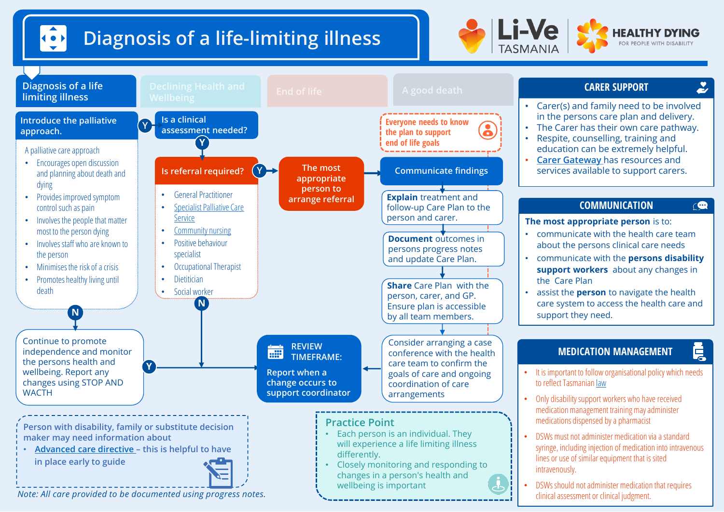## $\left| \begin{array}{c} \bullet \\ \bullet \end{array} \right|$ Diagnosis of a life-limiting illness



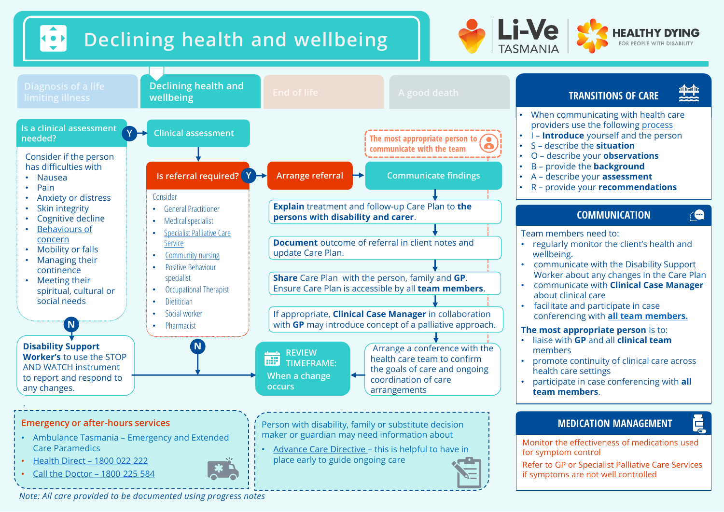





*Note: All care provided to be documented using progress notes*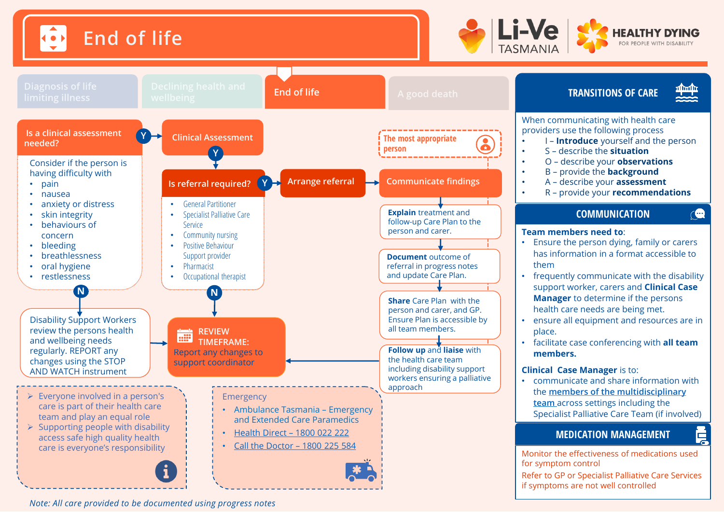





*Note: All care provided to be documented using progress notes*